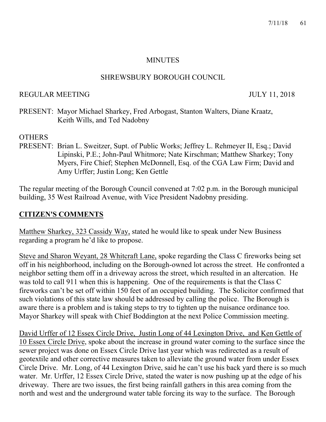### **MINUTES**

### SHREWSBURY BOROUGH COUNCIL

### REGULAR MEETING JULY 11, 2018

PRESENT: Mayor Michael Sharkey, Fred Arbogast, Stanton Walters, Diane Kraatz, Keith Wills, and Ted Nadobny

### **OTHERS**

PRESENT: Brian L. Sweitzer, Supt. of Public Works; Jeffrey L. Rehmeyer II, Esq.; David Lipinski, P.E.; John-Paul Whitmore; Nate Kirschman; Matthew Sharkey; Tony Myers, Fire Chief; Stephen McDonnell, Esq. of the CGA Law Firm; David and Amy Urffer; Justin Long; Ken Gettle

The regular meeting of the Borough Council convened at 7:02 p.m. in the Borough municipal building, 35 West Railroad Avenue, with Vice President Nadobny presiding.

### **CITIZEN'S COMMENTS**

Matthew Sharkey, 323 Cassidy Way, stated he would like to speak under New Business regarding a program he'd like to propose.

Steve and Sharon Weyant, 28 Whitcraft Lane, spoke regarding the Class C fireworks being set off in his neighborhood, including on the Borough-owned lot across the street. He confronted a neighbor setting them off in a driveway across the street, which resulted in an altercation. He was told to call 911 when this is happening. One of the requirements is that the Class C fireworks can't be set off within 150 feet of an occupied building. The Solicitor confirmed that such violations of this state law should be addressed by calling the police. The Borough is aware there is a problem and is taking steps to try to tighten up the nuisance ordinance too. Mayor Sharkey will speak with Chief Boddington at the next Police Commission meeting.

David Urffer of 12 Essex Circle Drive, Justin Long of 44 Lexington Drive, and Ken Gettle of 10 Essex Circle Drive, spoke about the increase in ground water coming to the surface since the sewer project was done on Essex Circle Drive last year which was redirected as a result of geotextile and other corrective measures taken to alleviate the ground water from under Essex Circle Drive. Mr. Long, of 44 Lexington Drive, said he can't use his back yard there is so much water. Mr. Urffer, 12 Essex Circle Drive, stated the water is now pushing up at the edge of his driveway. There are two issues, the first being rainfall gathers in this area coming from the north and west and the underground water table forcing its way to the surface. The Borough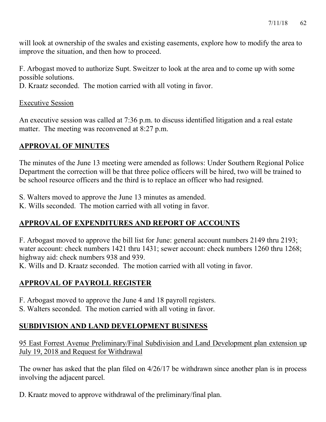will look at ownership of the swales and existing easements, explore how to modify the area to improve the situation, and then how to proceed.

F. Arbogast moved to authorize Supt. Sweitzer to look at the area and to come up with some possible solutions.

D. Kraatz seconded. The motion carried with all voting in favor.

### Executive Session

An executive session was called at 7:36 p.m. to discuss identified litigation and a real estate matter. The meeting was reconvened at 8:27 p.m.

# **APPROVAL OF MINUTES**

The minutes of the June 13 meeting were amended as follows: Under Southern Regional Police Department the correction will be that three police officers will be hired, two will be trained to be school resource officers and the third is to replace an officer who had resigned.

- S. Walters moved to approve the June 13 minutes as amended.
- K. Wills seconded. The motion carried with all voting in favor.

# **APPROVAL OF EXPENDITURES AND REPORT OF ACCOUNTS**

F. Arbogast moved to approve the bill list for June: general account numbers 2149 thru 2193; water account: check numbers 1421 thru 1431; sewer account: check numbers 1260 thru 1268; highway aid: check numbers 938 and 939.

K. Wills and D. Kraatz seconded. The motion carried with all voting in favor.

# **APPROVAL OF PAYROLL REGISTER**

- F. Arbogast moved to approve the June 4 and 18 payroll registers.
- S. Walters seconded. The motion carried with all voting in favor.

# **SUBDIVISION AND LAND DEVELOPMENT BUSINESS**

95 East Forrest Avenue Preliminary/Final Subdivision and Land Development plan extension up July 19, 2018 and Request for Withdrawal

The owner has asked that the plan filed on 4/26/17 be withdrawn since another plan is in process involving the adjacent parcel.

D. Kraatz moved to approve withdrawal of the preliminary/final plan.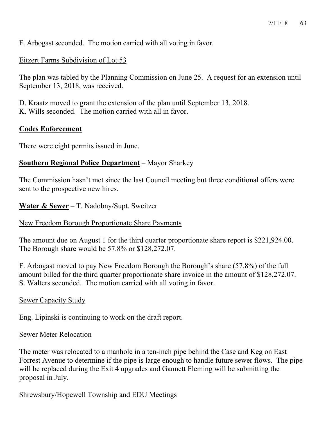F. Arbogast seconded. The motion carried with all voting in favor.

### Eitzert Farms Subdivision of Lot 53

The plan was tabled by the Planning Commission on June 25. A request for an extension until September 13, 2018, was received.

D. Kraatz moved to grant the extension of the plan until September 13, 2018. K. Wills seconded. The motion carried with all in favor.

### **Codes Enforcement**

There were eight permits issued in June.

### **Southern Regional Police Department** – Mayor Sharkey

The Commission hasn't met since the last Council meeting but three conditional offers were sent to the prospective new hires.

### **Water & Sewer** – T. Nadobny/Supt. Sweitzer

### New Freedom Borough Proportionate Share Payments

The amount due on August 1 for the third quarter proportionate share report is \$221,924.00. The Borough share would be 57.8% or \$128,272.07.

F. Arbogast moved to pay New Freedom Borough the Borough's share (57.8%) of the full amount billed for the third quarter proportionate share invoice in the amount of \$128,272.07. S. Walters seconded. The motion carried with all voting in favor.

### Sewer Capacity Study

Eng. Lipinski is continuing to work on the draft report.

### Sewer Meter Relocation

The meter was relocated to a manhole in a ten-inch pipe behind the Case and Keg on East Forrest Avenue to determine if the pipe is large enough to handle future sewer flows. The pipe will be replaced during the Exit 4 upgrades and Gannett Fleming will be submitting the proposal in July.

### Shrewsbury/Hopewell Township and EDU Meetings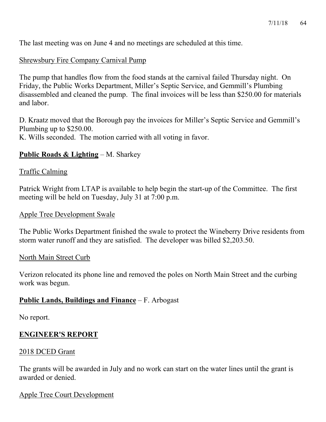The last meeting was on June 4 and no meetings are scheduled at this time.

### Shrewsbury Fire Company Carnival Pump

The pump that handles flow from the food stands at the carnival failed Thursday night. On Friday, the Public Works Department, Miller's Septic Service, and Gemmill's Plumbing disassembled and cleaned the pump. The final invoices will be less than \$250.00 for materials and labor.

D. Kraatz moved that the Borough pay the invoices for Miller's Septic Service and Gemmill's Plumbing up to \$250.00.

K. Wills seconded. The motion carried with all voting in favor.

### **Public Roads & Lighting** – M. Sharkey

### Traffic Calming

Patrick Wright from LTAP is available to help begin the start-up of the Committee. The first meeting will be held on Tuesday, July 31 at 7:00 p.m.

### Apple Tree Development Swale

The Public Works Department finished the swale to protect the Wineberry Drive residents from storm water runoff and they are satisfied. The developer was billed \$2,203.50.

### North Main Street Curb

Verizon relocated its phone line and removed the poles on North Main Street and the curbing work was begun.

### **Public Lands, Buildings and Finance** – F. Arbogast

No report.

### **ENGINEER'S REPORT**

### 2018 DCED Grant

The grants will be awarded in July and no work can start on the water lines until the grant is awarded or denied.

### Apple Tree Court Development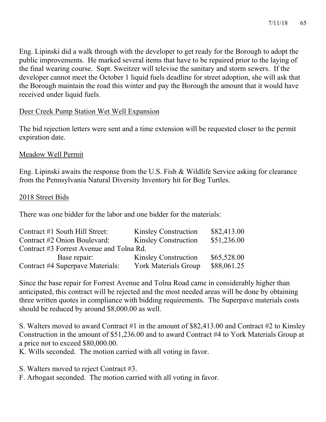Eng. Lipinski did a walk through with the developer to get ready for the Borough to adopt the public improvements. He marked several items that have to be repaired prior to the laying of the final wearing course. Supt. Sweitzer will televise the sanitary and storm sewers. If the developer cannot meet the October 1 liquid fuels deadline for street adoption, she will ask that the Borough maintain the road this winter and pay the Borough the amount that it would have received under liquid fuels.

### Deer Creek Pump Station Wet Well Expansion

The bid rejection letters were sent and a time extension will be requested closer to the permit expiration date.

### Meadow Well Permit

Eng. Lipinski awaits the response from the U.S. Fish & Wildlife Service asking for clearance from the Pennsylvania Natural Diversity Inventory hit for Bog Turtles.

### 2018 Street Bids

There was one bidder for the labor and one bidder for the materials:

| Contract #1 South Hill Street:           | <b>Kinsley Construction</b> | \$82,413.00 |
|------------------------------------------|-----------------------------|-------------|
| Contract #2 Onion Boulevard:             | <b>Kinsley Construction</b> | \$51,236.00 |
| Contract #3 Forrest Avenue and Tolna Rd. |                             |             |
| Base repair:                             | <b>Kinsley Construction</b> | \$65,528.00 |
| Contract #4 Superpave Materials:         | <b>York Materials Group</b> | \$88,061.25 |

Since the base repair for Forrest Avenue and Tolna Road came in considerably higher than anticipated, this contract will be rejected and the most needed areas will be done by obtaining three written quotes in compliance with bidding requirements. The Superpave materials costs should be reduced by around \$8,000.00 as well.

S. Walters moved to award Contract #1 in the amount of \$82,413.00 and Contract #2 to Kinsley Construction in the amount of \$51,236.00 and to award Contract #4 to York Materials Group at a price not to exceed \$80,000.00.

K. Wills seconded. The motion carried with all voting in favor.

S. Walters moved to reject Contract #3.

F. Arbogast seconded. The motion carried with all voting in favor.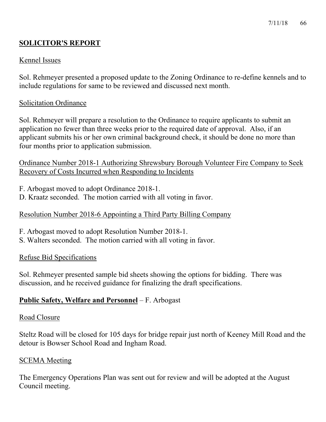#### 7/11/18 66

# **SOLICITOR'S REPORT**

### Kennel Issues

Sol. Rehmeyer presented a proposed update to the Zoning Ordinance to re-define kennels and to include regulations for same to be reviewed and discussed next month.

#### Solicitation Ordinance

Sol. Rehmeyer will prepare a resolution to the Ordinance to require applicants to submit an application no fewer than three weeks prior to the required date of approval. Also, if an applicant submits his or her own criminal background check, it should be done no more than four months prior to application submission.

Ordinance Number 2018-1 Authorizing Shrewsbury Borough Volunteer Fire Company to Seek Recovery of Costs Incurred when Responding to Incidents

F. Arbogast moved to adopt Ordinance 2018-1.

D. Kraatz seconded. The motion carried with all voting in favor.

### Resolution Number 2018-6 Appointing a Third Party Billing Company

- F. Arbogast moved to adopt Resolution Number 2018-1.
- S. Walters seconded. The motion carried with all voting in favor.

### Refuse Bid Specifications

Sol. Rehmeyer presented sample bid sheets showing the options for bidding. There was discussion, and he received guidance for finalizing the draft specifications.

### **Public Safety, Welfare and Personnel** – F. Arbogast

#### Road Closure

Steltz Road will be closed for 105 days for bridge repair just north of Keeney Mill Road and the detour is Bowser School Road and Ingham Road.

### SCEMA Meeting

The Emergency Operations Plan was sent out for review and will be adopted at the August Council meeting.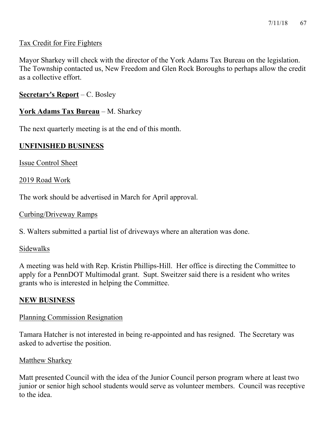### Tax Credit for Fire Fighters

Mayor Sharkey will check with the director of the York Adams Tax Bureau on the legislation. The Township contacted us, New Freedom and Glen Rock Boroughs to perhaps allow the credit as a collective effort.

### **Secretary's Report** – C. Bosley

### **York Adams Tax Bureau** – M. Sharkey

The next quarterly meeting is at the end of this month.

### **UNFINISHED BUSINESS**

Issue Control Sheet

2019 Road Work

The work should be advertised in March for April approval.

### Curbing/Driveway Ramps

S. Walters submitted a partial list of driveways where an alteration was done.

### Sidewalks

A meeting was held with Rep. Kristin Phillips-Hill. Her office is directing the Committee to apply for a PennDOT Multimodal grant. Supt. Sweitzer said there is a resident who writes grants who is interested in helping the Committee.

### **NEW BUSINESS**

### Planning Commission Resignation

Tamara Hatcher is not interested in being re-appointed and has resigned. The Secretary was asked to advertise the position.

### Matthew Sharkey

Matt presented Council with the idea of the Junior Council person program where at least two junior or senior high school students would serve as volunteer members. Council was receptive to the idea.